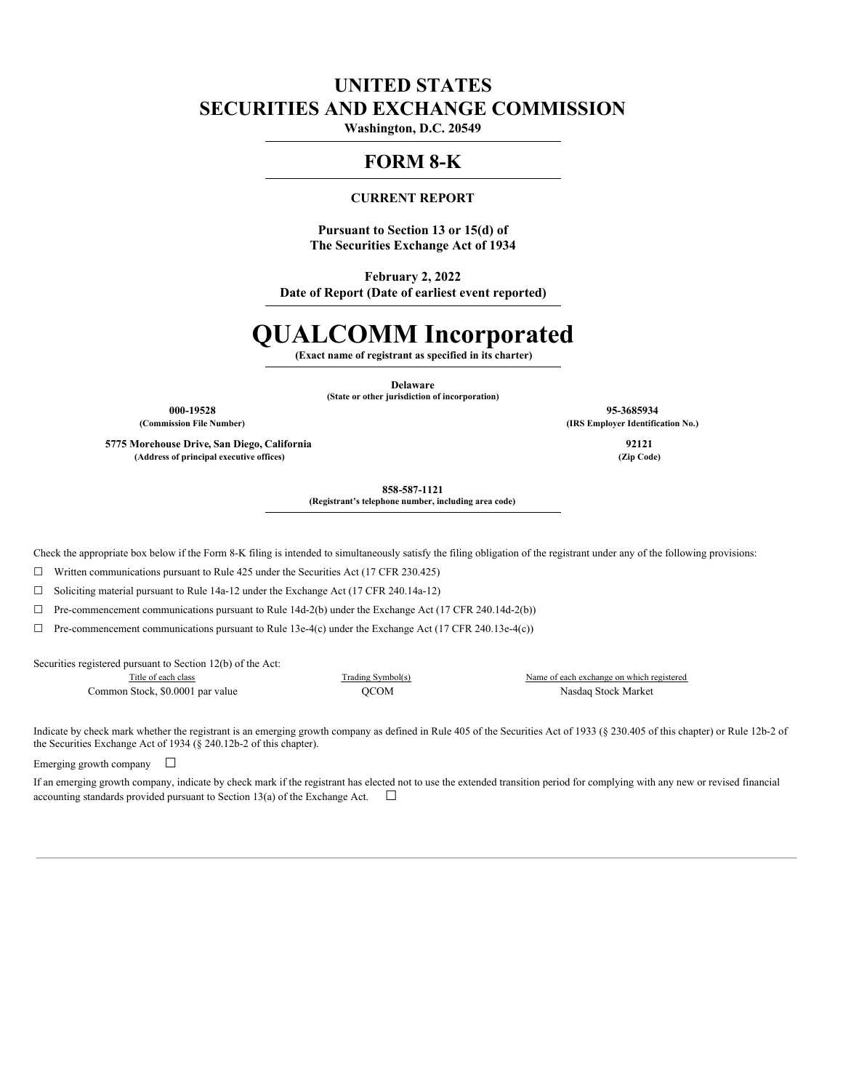# **UNITED STATES SECURITIES AND EXCHANGE COMMISSION**

**Washington, D.C. 20549**

## **FORM 8-K**

## **CURRENT REPORT**

**Pursuant to Section 13 or 15(d) of The Securities Exchange Act of 1934**

**February 2, 2022 Date of Report (Date of earliest event reported)**

# **QUALCOMM Incorporated**

**(Exact name of registrant as specified in its charter)**

**Delaware (State or other jurisdiction of incorporation)**

**5775 Morehouse Drive, San Diego, California 92121 (Address of principal executive offices) (Zip Code)**

**000-19528 95-3685934 (Commission File Number) (IRS Employer Identification No.)**

**858-587-1121**

**(Registrant's telephone number, including area code)**

Check the appropriate box below if the Form 8-K filing is intended to simultaneously satisfy the filing obligation of the registrant under any of the following provisions:

 $\Box$  Written communications pursuant to Rule 425 under the Securities Act (17 CFR 230.425)

☐ Soliciting material pursuant to Rule 14a-12 under the Exchange Act (17 CFR 240.14a-12)

☐ Pre-commencement communications pursuant to Rule 14d-2(b) under the Exchange Act (17 CFR 240.14d-2(b))

 $\Box$  Pre-commencement communications pursuant to Rule 13e-4(c) under the Exchange Act (17 CFR 240.13e-4(c))

Securities registered pursuant to Section 12(b) of the Act:

Common Stock, \$0.0001 par value QCOM Nasdaq Stock Market

Title of each class Trading Symbol(s) Name of each exchange on which registered

Indicate by check mark whether the registrant is an emerging growth company as defined in Rule 405 of the Securities Act of 1933 (§ 230.405 of this chapter) or Rule 12b-2 of the Securities Exchange Act of 1934 (§ 240.12b-2 of this chapter).

Emerging growth company  $\Box$ 

If an emerging growth company, indicate by check mark if the registrant has elected not to use the extended transition period for complying with any new or revised financial accounting standards provided pursuant to Section 13(a) of the Exchange Act.  $\Box$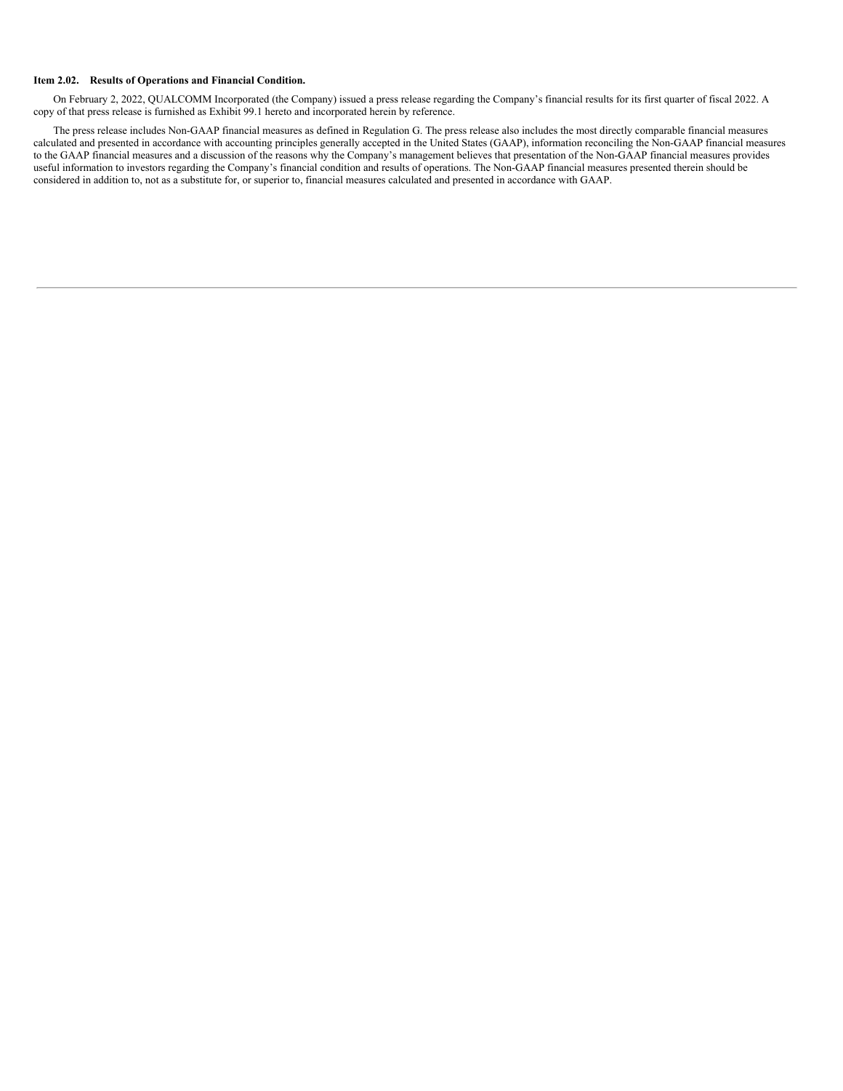#### **Item 2.02. Results of Operations and Financial Condition.**

On February 2, 2022, QUALCOMM Incorporated (the Company) issued a press release regarding the Company's financial results for its first quarter of fiscal 2022. A copy of that press release is furnished as Exhibit 99.1 hereto and incorporated herein by reference.

The press release includes Non-GAAP financial measures as defined in Regulation G. The press release also includes the most directly comparable financial measures calculated and presented in accordance with accounting principles generally accepted in the United States (GAAP), information reconciling the Non-GAAP financial measures to the GAAP financial measures and a discussion of the reasons why the Company's management believes that presentation of the Non-GAAP financial measures provides useful information to investors regarding the Company's financial condition and results of operations. The Non-GAAP financial measures presented therein should be considered in addition to, not as a substitute for, or superior to, financial measures calculated and presented in accordance with GAAP.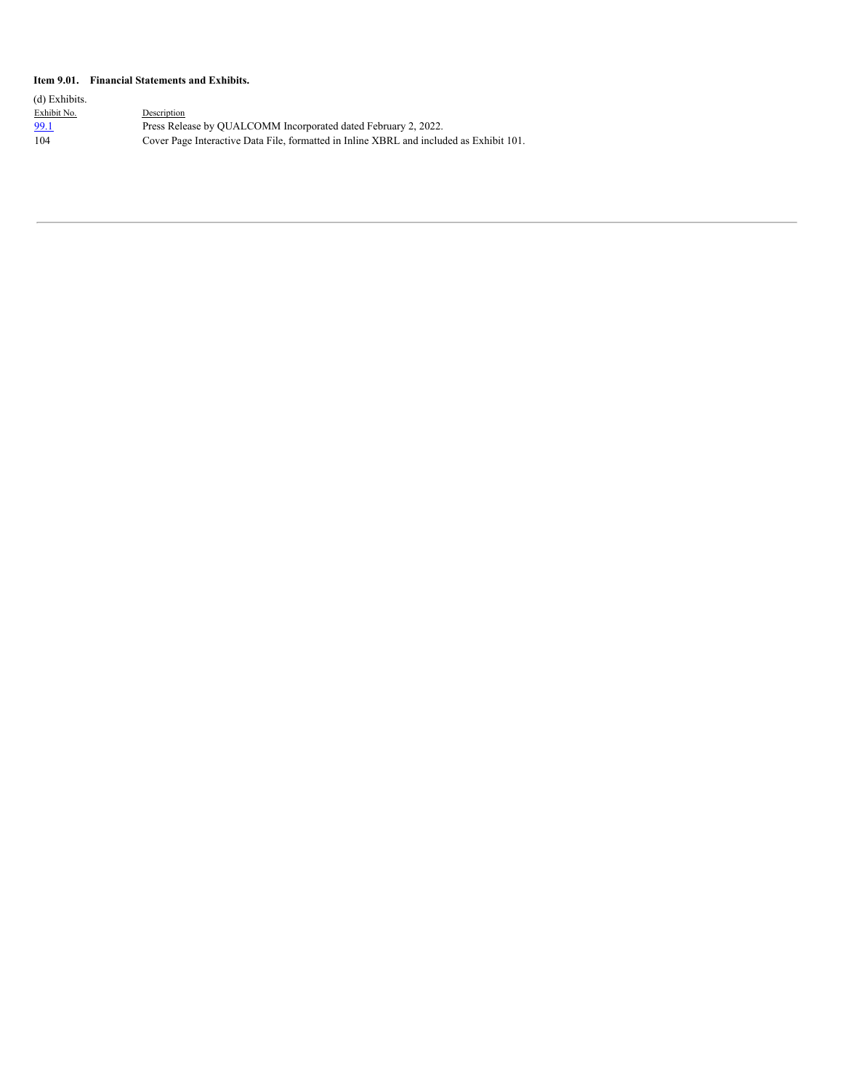#### **Item 9.01. Financial Statements and Exhibits.**

| (d) Exhibits. |                                                                                         |
|---------------|-----------------------------------------------------------------------------------------|
| Exhibit No.   | Description                                                                             |
| 99.1          | Press Release by OUALCOMM Incorporated dated February 2, 2022.                          |
| 104           | Cover Page Interactive Data File, formatted in Inline XBRL and included as Exhibit 101. |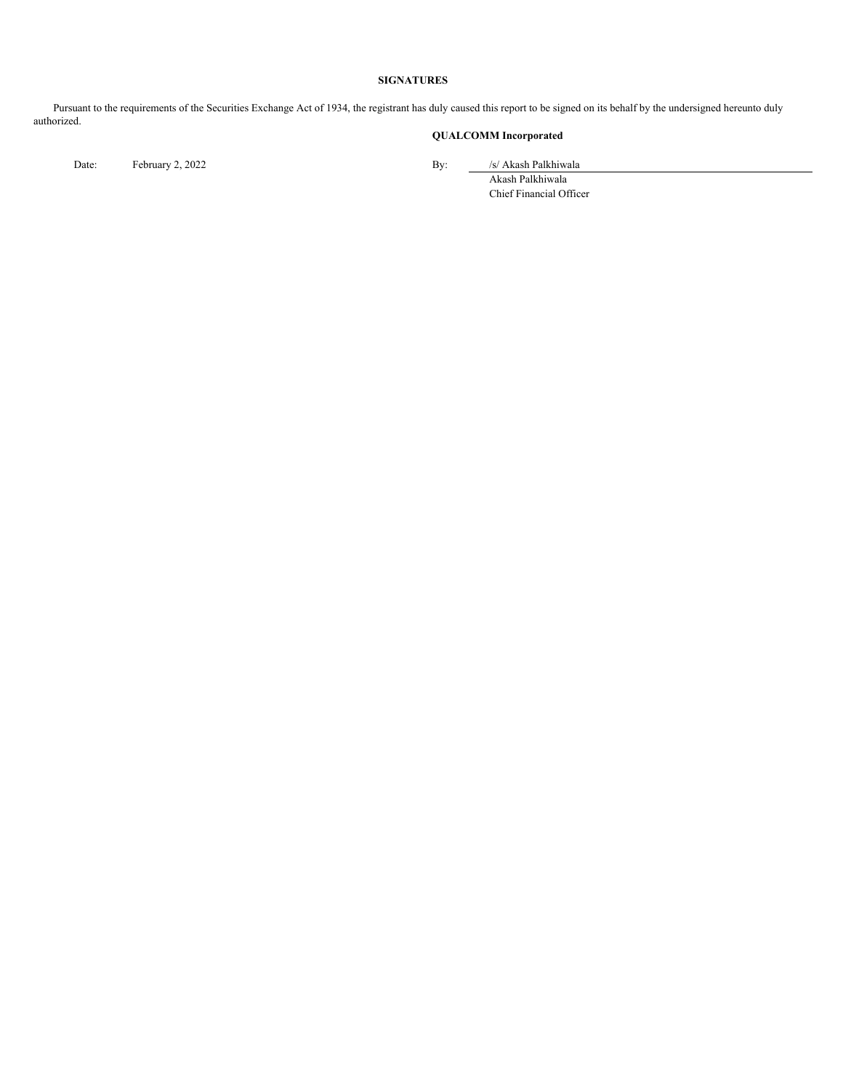#### **SIGNATURES**

Pursuant to the requirements of the Securities Exchange Act of 1934, the registrant has duly caused this report to be signed on its behalf by the undersigned hereunto duly authorized.

## **QUALCOMM Incorporated**

Date: February 2, 2022 By: /s/ Akash Palkhiwala

Akash Palkhiwala Chief Financial Officer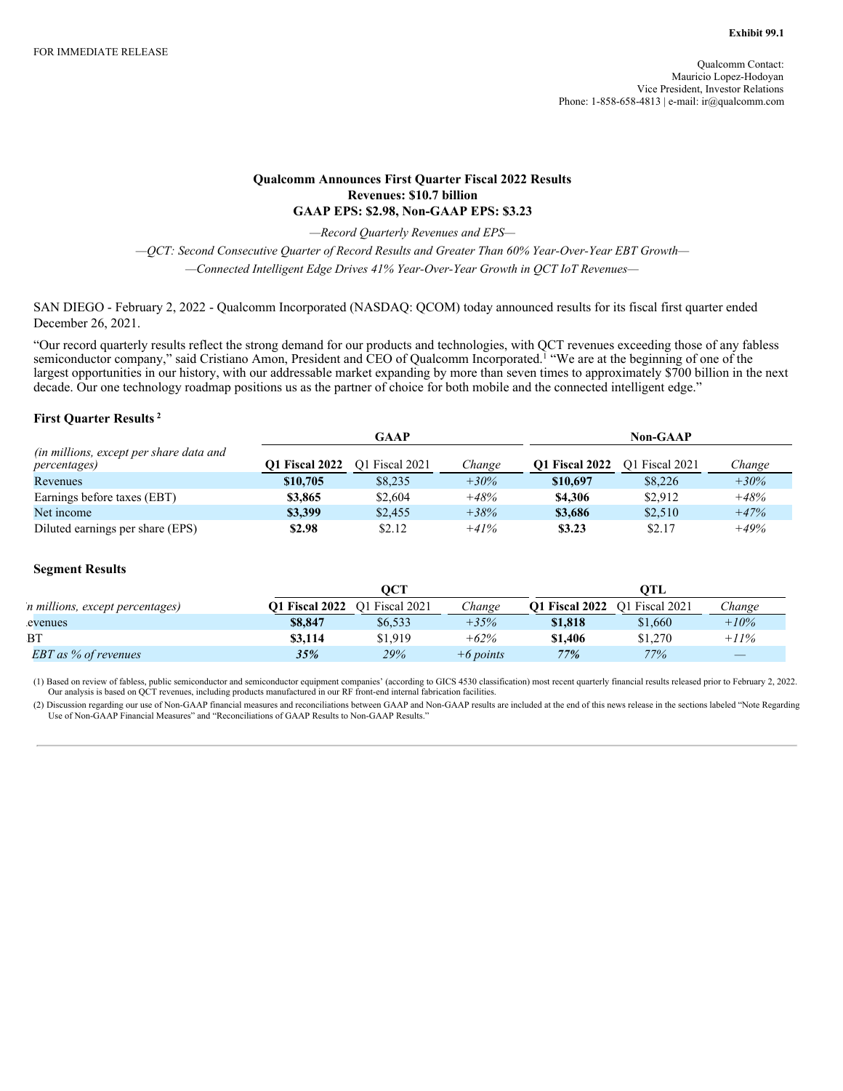## **Qualcomm Announces First Quarter Fiscal 2022 Results Revenues: \$10.7 billion GAAP EPS: \$2.98, Non-GAAP EPS: \$3.23**

*—Record Quarterly Revenues and EPS—*

*—QCT: Second Consecutive Quarter of Record Results and Greater Than 60% Year-Over-Year EBT Growth— —Connected Intelligent Edge Drives 41% Year-Over-Year Growth in QCT IoT Revenues—*

SAN DIEGO - February 2, 2022 - Qualcomm Incorporated (NASDAQ: QCOM) today announced results for its fiscal first quarter ended December 26, 2021.

"Our record quarterly results reflect the strong demand for our products and technologies, with QCT revenues exceeding those of any fabless semiconductor company," said Cristiano Amon, President and CEO of Qualcomm Incorporated.<sup>1</sup> "We are at the beginning of one of the largest opportunities in our history, with our addressable market expanding by more than seven times to approximately \$700 billion in the next decade. Our one technology roadmap positions us as the partner of choice for both mobile and the connected intelligent edge."

## **First Quarter Results 2**

|                                                                          |                       | <b>GAAP</b>    |         | <b>Non-GAAP</b>       |                |        |
|--------------------------------------------------------------------------|-----------------------|----------------|---------|-----------------------|----------------|--------|
| <i>(in millions, except per share data and</i> )<br><i>percentages</i> ) | <b>O1 Fiscal 2022</b> | O1 Fiscal 2021 | Change  | <b>O1 Fiscal 2022</b> | O1 Fiscal 2021 | Change |
| Revenues                                                                 | \$10,705              | \$8,235        | $+30\%$ | \$10,697              | \$8,226        | $+30%$ |
| Earnings before taxes (EBT)                                              | \$3,865               | \$2,604        | $+48%$  | \$4,306               | \$2.912        | $+48%$ |
| Net income                                                               | \$3,399               | \$2,455        | $+38%$  | \$3,686               | \$2.510        | $+47%$ |
| Diluted earnings per share (EPS)                                         | \$2.98                | \$2.12         | $+41%$  | \$3.23                | \$2.17         | $+49%$ |

#### **Segment Results**

|                                 |                       | OCT            |             |                       | OTL            |         |
|---------------------------------|-----------------------|----------------|-------------|-----------------------|----------------|---------|
| n millions, except percentages) | <b>O1 Fiscal 2022</b> | O1 Fiscal 2021 | Change      | <b>O1 Fiscal 2022</b> | O1 Fiscal 2021 | hange:  |
| evenues                         | \$8,847               | \$6,533        | $+35%$      | \$1,818               | \$1,660        | $+10\%$ |
| BT                              | \$3.114               | \$1,919        | $+62%$      | \$1,406               | \$1,270        | $+11%$  |
| EBT as % of revenues            | 35%                   | $29\%$         | $+6$ points | 77%                   | 77%            |         |

(1) Based on review of fabless, public semiconductor and semiconductor equipment companies' (according to GICS 4530 classification) most recent quarterly financial results released prior to February 2, 2022.<br>Our analysis i

(2) Discussion regarding our use of Non-GAAP financial measures and reconciliations between GAAP and Non-GAAP results are included at the end of this news release in the sections labeled "Note Regarding Use of Non-GAAP Financial Measures" and "Reconciliations of GAAP Results to Non-GAAP Results."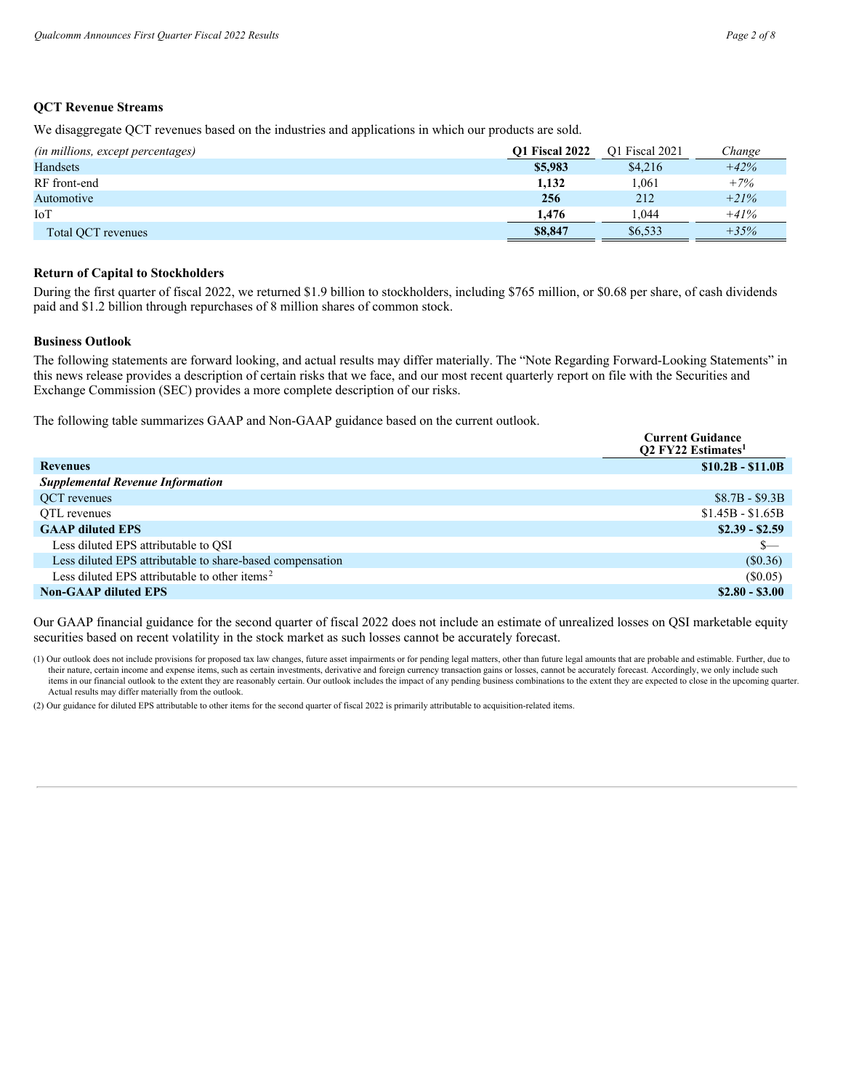## **QCT Revenue Streams**

We disaggregate QCT revenues based on the industries and applications in which our products are sold.

| (in millions, except percentages) | <b>O1 Fiscal 2022</b> | O1 Fiscal 2021 | Change |
|-----------------------------------|-----------------------|----------------|--------|
| <b>Handsets</b>                   | \$5,983               | \$4,216        | $+42%$ |
| RF front-end                      | 1.132                 | 1.061          | $+7%$  |
| Automotive                        | 256                   | 212            | $+21%$ |
| IoT                               | 1.476                 | 1.044          | $+41%$ |
| Total OCT revenues                | \$8,847               | \$6.533        | $+35%$ |

## **Return of Capital to Stockholders**

During the first quarter of fiscal 2022, we returned \$1.9 billion to stockholders, including \$765 million, or \$0.68 per share, of cash dividends paid and \$1.2 billion through repurchases of 8 million shares of common stock.

### **Business Outlook**

The following statements are forward looking, and actual results may differ materially. The "Note Regarding Forward-Looking Statements" in this news release provides a description of certain risks that we face, and our most recent quarterly report on file with the Securities and Exchange Commission (SEC) provides a more complete description of our risks.

The following table summarizes GAAP and Non-GAAP guidance based on the current outlook.

|                                                           | <b>Current Guidance</b><br><b>Q2 FY22 Estimates</b> |
|-----------------------------------------------------------|-----------------------------------------------------|
| <b>Revenues</b>                                           | $$10.2B - $11.0B$                                   |
| <b>Supplemental Revenue Information</b>                   |                                                     |
| OCT revenues                                              | $$8.7B - $9.3B$                                     |
| OTL revenues                                              | $$1.45B - $1.65B$                                   |
| <b>GAAP</b> diluted EPS                                   | $$2.39 - $2.59$                                     |
| Less diluted EPS attributable to OSI                      | S—                                                  |
| Less diluted EPS attributable to share-based compensation | (\$0.36)                                            |
| Less diluted EPS attributable to other items <sup>2</sup> | $(\$0.05)$                                          |
| <b>Non-GAAP diluted EPS</b>                               | $$2.80 - $3.00$                                     |

Our GAAP financial guidance for the second quarter of fiscal 2022 does not include an estimate of unrealized losses on QSI marketable equity securities based on recent volatility in the stock market as such losses cannot be accurately forecast.

(1) Our outlook does not include provisions for proposed tax law changes, future asset impairments or for pending legal matters, other than future legal amounts that are probable and estimable. Further, due to their nature, certain income and expense items, such as certain investments, derivative and foreign currency transaction gains or losses, cannot be accurately forecast. Accordingly, we only include such items in our financial outlook to the extent they are reasonably certain. Our outlook includes the impact of any pending business combinations to the extent they are expected to close in the upcoming quarter. Actual results may differ materially from the outlook.

(2) Our guidance for diluted EPS attributable to other items for the second quarter of fiscal 2022 is primarily attributable to acquisition-related items.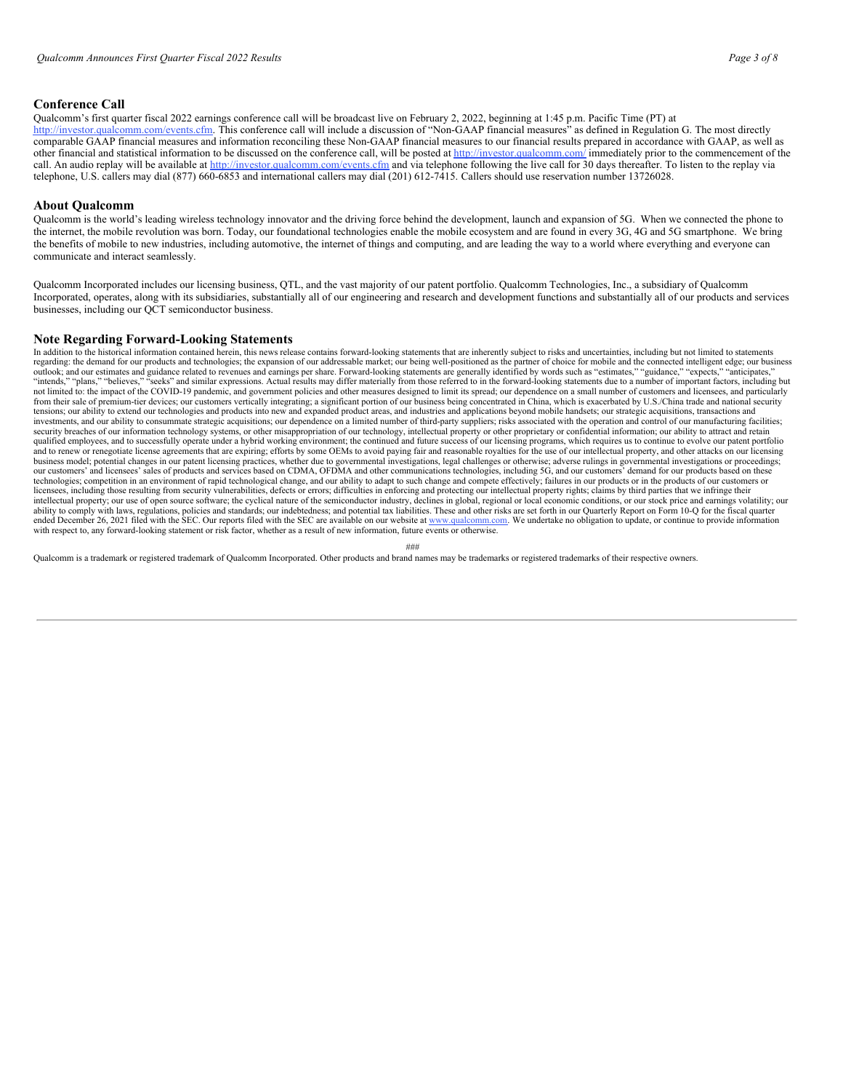#### **Conference Call**

Qualcomm's first quarter fiscal 2022 earnings conference call will be broadcast live on February 2, 2022, beginning at 1:45 p.m. Pacific Time (PT) at http://investor.qualcomm.com/events.cfm. This conference call will include a discussion of "Non-GAAP financial measures" as defined in Regulation G. The most directly comparable GAAP financial measures and information reconciling these Non-GAAP financial measures to our financial results prepared in accordance with GAAP, as well as other financial and statistical information to be discussed on the conference call, will be posted at http://investor.qualcomm.com/ immediately prior to the commencement of the call. An audio replay will be available at http://investor.qualcomm.com/events.cfm and via telephone following the live call for 30 days thereafter. To listen to the replay via telephone, U.S. callers may dial (877) 660-6853 and international callers may dial (201) 612-7415. Callers should use reservation number 13726028.

#### **About Qualcomm**

Qualcomm is the world's leading wireless technology innovator and the driving force behind the development, launch and expansion of 5G. When we connected the phone to the internet, the mobile revolution was born. Today, our foundational technologies enable the mobile ecosystem and are found in every 3G, 4G and 5G smartphone. We bring the benefits of mobile to new industries, including automotive, the internet of things and computing, and are leading the way to a world where everything and everyone can communicate and interact seamlessly.

Qualcomm Incorporated includes our licensing business, QTL, and the vast majority of our patent portfolio. Qualcomm Technologies, Inc., a subsidiary of Qualcomm Incorporated, operates, along with its subsidiaries, substantially all of our engineering and research and development functions and substantially all of our products and services businesses, including our QCT semiconductor business.

#### **Note Regarding Forward-Looking Statements**

In addition to the historical information contained herein, this news release contains forward-looking statements that are inherently subject to risks and uncertainties, including but not limited to statements regarding: the demand for our products and technologies; the expansion of our addressable market; our being well-positioned as the partner of choice for mobile and the connected intelligent edge; our business outlook; and our estimates and guidance related to revenues and earnings per share. Forward-looking statements are generally identified by words such as "estimates," "guidance," "expects," "anticipates," "anticipates," "an not limited to: the impact of the COVID-19 pandemic, and government policies and other measures designed to limit its spread; our dependence on a small number of customers and licensees, and particularly from their sale of premium-tier devices; our customers vertically integrating; a significant portion of our business being concentrated in China, which is exacerbated by U.S./China trade and national security<br>tensions; our investments, and our ability to consummate strategic acquisitions; our dependence on a limited number of third-party suppliers; risks associated with the operation and control of our manufacturing facilities; security breaches of our information technology systems, or other misappropriation of our technology, intellectual property or other proprietary or confidential information; our ability to attract and retain qualified employees, and to successfully operate under a hybrid working environment; the continued and future success of our licensing programs, which requires us to continue to evolve our patent portfolio and to renew or renegotiate license agreements that are expiring; efforts by some OEMs to avoid paying fair and reasonable royalties for the use of our intellectual property, and other attacks on our licensing business model; potential changes in our patent licensing practices, whether due to governmental investigations, legal challenges or otherwise; adverse rulings in governmental investigations or proceedings; our customers' and licensees' sales of products and services based on CDMA, OFDMA and other communications technologies, including 5G, and our customers' demand for our products based on these technologies; competition in licensees, including those resulting from security vulnerabilities, defects or errors; difficulties in enforcing and protecting our intellectual property rights; claims by third parties that we infringe their intellectual property; our use of open source software; the cyclical nature of the semiconductor industry, declines in global, regional or local economic conditions, or our stock price and earnings volatility; our ability to comply with laws, regulations, policies and standards; our indebtedness; and potential tax liabilities. These and other risks are set forth in our Quarterly Report on Form 10-Q for the fiscal quarter ended December 26, 2021 filed with the SEC. Our reports filed with the SEC are available on our website at www.qualcomm.com. We undertake no obligation to update, or continue to provide information with respect to, any forward-looking statement or risk factor, whether as a result of new information, future events or otherwise.

###

Qualcomm is a trademark or registered trademark of Qualcomm Incorporated. Other products and brand names may be trademarks or registered trademarks of their respective owners.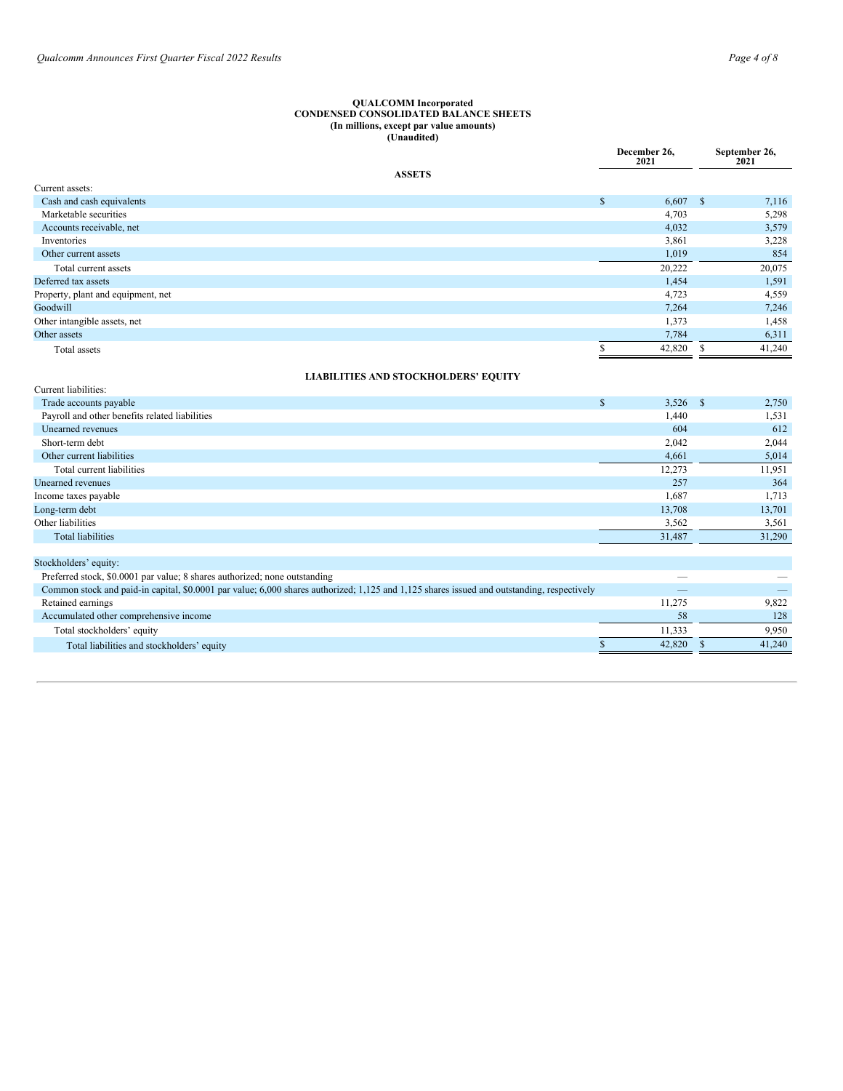#### <span id="page-7-0"></span>**QUALCOMM Incorporated CONDENSED CONSOLIDATED BALANCE SHEETS (In millions, except par value amounts) (Unaudited)**

|                                                                          | December 26,<br>2021  |              | September 26,<br>2021 |
|--------------------------------------------------------------------------|-----------------------|--------------|-----------------------|
| <b>ASSETS</b>                                                            |                       |              |                       |
| Current assets:                                                          |                       |              |                       |
| Cash and cash equivalents                                                | $\mathbb{S}$<br>6,607 | $\mathbb{S}$ | 7,116                 |
| Marketable securities                                                    | 4,703                 |              | 5,298                 |
| Accounts receivable, net                                                 | 4,032                 |              | 3,579                 |
| Inventories                                                              | 3,861                 |              | 3,228                 |
| Other current assets                                                     | 1,019                 |              | 854                   |
| Total current assets                                                     | 20,222                |              | 20,075                |
| Deferred tax assets                                                      | 1,454                 |              | 1,591                 |
| Property, plant and equipment, net                                       | 4,723                 |              | 4,559                 |
| Goodwill                                                                 | 7,264                 |              | 7,246                 |
| Other intangible assets, net                                             | 1,373                 |              | 1,458                 |
| Other assets                                                             | 7,784                 |              | 6,311                 |
| Total assets                                                             | 42,820<br>S           | \$           | 41,240                |
|                                                                          |                       |              |                       |
| <b>LIABILITIES AND STOCKHOLDERS' EQUITY</b><br>Current liabilities:      |                       |              |                       |
|                                                                          | $\mathbb{S}$          | $3,526$ \$   |                       |
| Trade accounts payable<br>Payroll and other benefits related liabilities | 1,440                 |              | 2,750<br>1,531        |
| Unearned revenues                                                        |                       | 604          | 612                   |
| Short-term debt                                                          | 2,042                 |              | 2,044                 |
| Other current liabilities                                                | 4,661                 |              | 5,014                 |
| Total current liabilities                                                | 12,273                |              | 11,951                |
| <b>Unearned</b> revenues                                                 |                       | 257          | 364                   |
| Income taxes payable                                                     | 1,687                 |              | 1,713                 |
| Long-term debt                                                           | 13,708                |              | 13,701                |
| Other liabilities                                                        | 3,562                 |              | 3,561                 |
| <b>Total liabilities</b>                                                 | 31,487                |              | 31,290                |
|                                                                          |                       |              |                       |
| Stockholders' equity:                                                    |                       |              |                       |

| prochnoiders equity.                                                                                                                       |        |        |
|--------------------------------------------------------------------------------------------------------------------------------------------|--------|--------|
| Preferred stock, \$0,0001 par value; 8 shares authorized; none outstanding                                                                 |        |        |
| Common stock and paid-in capital, \$0,0001 par value; 6,000 shares authorized; 1,125 and 1,125 shares issued and outstanding, respectively | _      |        |
| Retained earnings                                                                                                                          | 11.275 | 9.822  |
| Accumulated other comprehensive income                                                                                                     | 58     | 128    |
| Total stockholders' equity                                                                                                                 | 11.333 | 9.950  |
| Total liabilities and stockholders' equity                                                                                                 | 42.820 | 41,240 |
|                                                                                                                                            |        |        |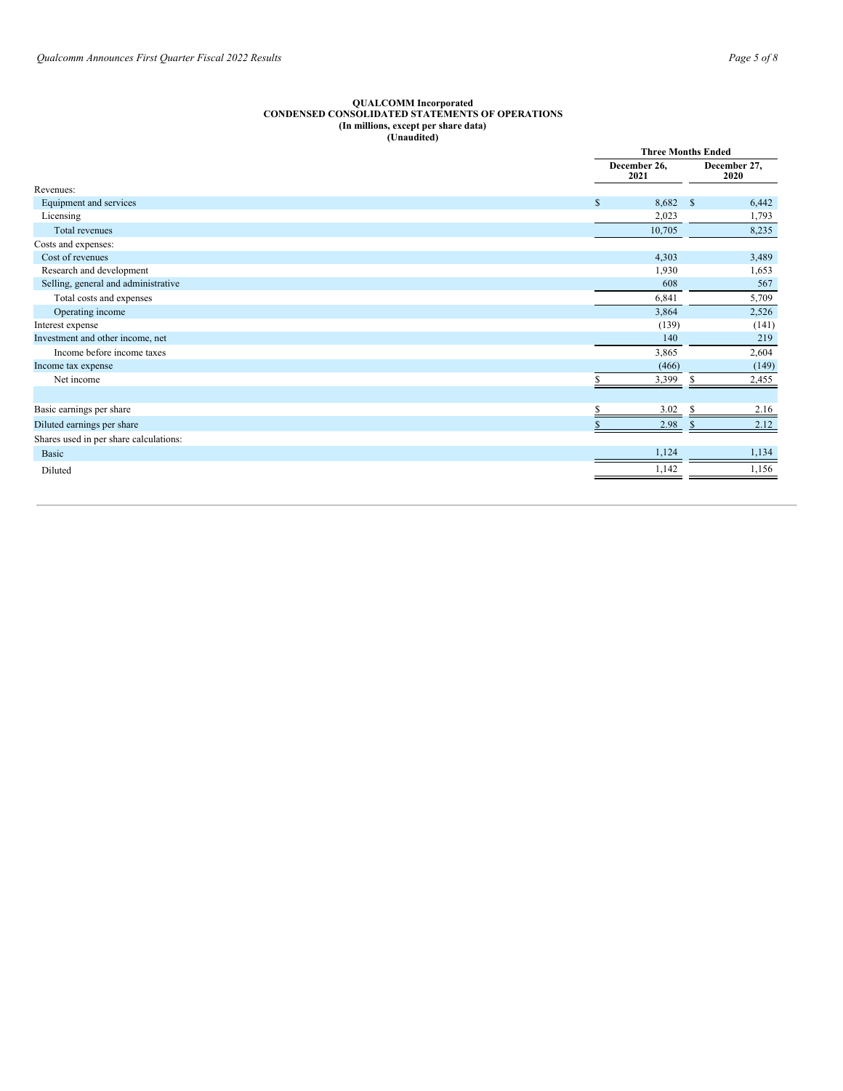#### **QUALCOMM Incorporated CONDENSED CONSOLIDATED STATEMENTS OF OPERATIONS (In millions, except per share data) (Unaudited)**

|                                        |                      | <b>Three Months Ended</b>      |  |  |
|----------------------------------------|----------------------|--------------------------------|--|--|
|                                        | December 26,<br>2021 | December 27,<br>2020           |  |  |
| Revenues:                              |                      |                                |  |  |
| Equipment and services                 | $\mathbb{S}$         | 8,682<br>$\mathbb{S}$<br>6,442 |  |  |
| Licensing                              | 2,023                | 1,793                          |  |  |
| <b>Total revenues</b>                  | 10,705               | 8,235                          |  |  |
| Costs and expenses:                    |                      |                                |  |  |
| Cost of revenues                       | 4,303                | 3,489                          |  |  |
| Research and development               | 1,930                | 1,653                          |  |  |
| Selling, general and administrative    |                      | 608<br>567                     |  |  |
| Total costs and expenses               | 6,841                | 5,709                          |  |  |
| Operating income                       | 3,864                | 2,526                          |  |  |
| Interest expense                       | (139)                | (141)                          |  |  |
| Investment and other income, net       |                      | 140<br>219                     |  |  |
| Income before income taxes             | 3,865                | 2,604                          |  |  |
| Income tax expense                     | (466)                | (149)                          |  |  |
| Net income                             | 3,399                | S<br>2,455                     |  |  |
|                                        |                      |                                |  |  |
| Basic earnings per share               | 3.02                 | 2.16                           |  |  |
| Diluted earnings per share             | 2.98                 | 2.12                           |  |  |
| Shares used in per share calculations: |                      |                                |  |  |
| Basic                                  | 1,124                | 1,134                          |  |  |
| Diluted                                | 1,142                | 1,156                          |  |  |
|                                        |                      |                                |  |  |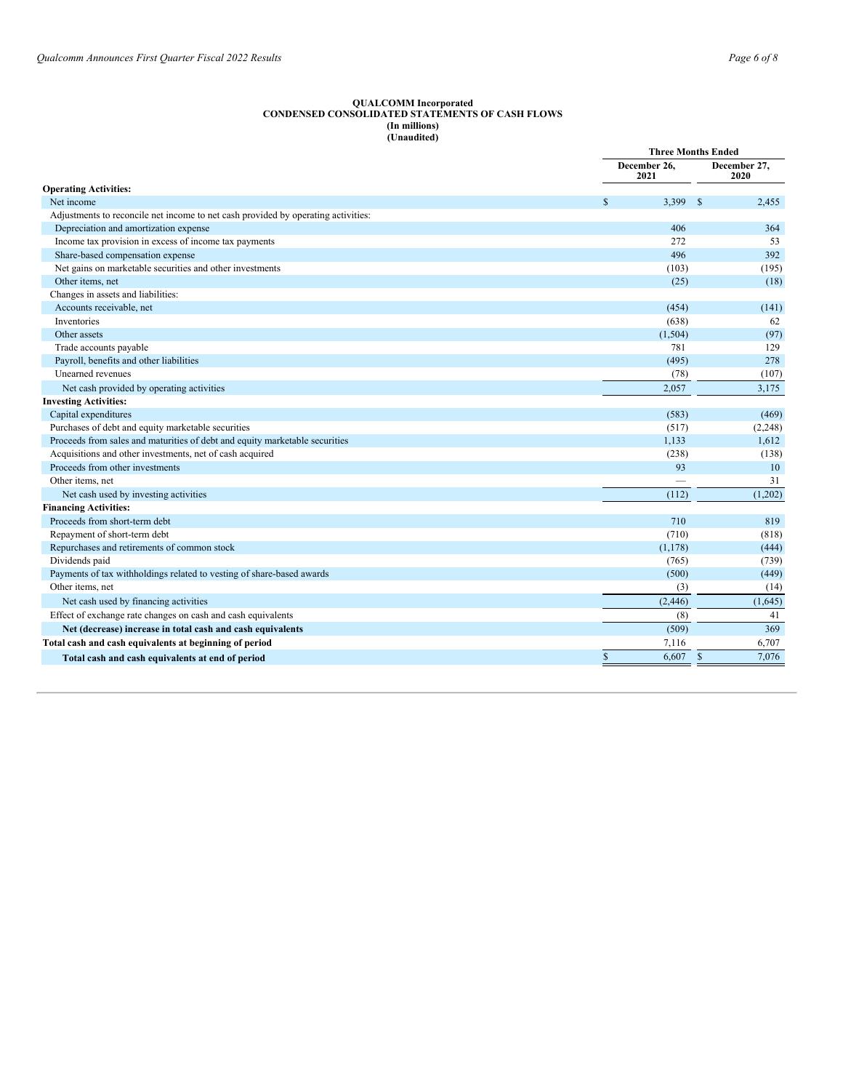#### **QUALCOMM Incorporated CONDENSED CONSOLIDATED STATEMENTS OF CASH FLOWS (In millions) (Unaudited)**

|                                                                                   |                        | <b>Three Months Ended</b> |
|-----------------------------------------------------------------------------------|------------------------|---------------------------|
|                                                                                   | December 26,<br>2021   | December 27.<br>2020      |
| <b>Operating Activities:</b>                                                      |                        |                           |
| Net income                                                                        | 3,399<br><sup>\$</sup> | -\$<br>2,455              |
| Adjustments to reconcile net income to net cash provided by operating activities: |                        |                           |
| Depreciation and amortization expense                                             | 406                    | 364                       |
| Income tax provision in excess of income tax payments                             | 272                    | 53                        |
| Share-based compensation expense                                                  | 496                    | 392                       |
| Net gains on marketable securities and other investments                          | (103)                  | (195)                     |
| Other items, net                                                                  | (25)                   | (18)                      |
| Changes in assets and liabilities:                                                |                        |                           |
| Accounts receivable, net                                                          | (454)                  | (141)                     |
| Inventories                                                                       | (638)                  | 62                        |
| Other assets                                                                      | (1, 504)               | (97)                      |
| Trade accounts payable                                                            | 781                    | 129                       |
| Payroll, benefits and other liabilities                                           | (495)                  | 278                       |
| Unearned revenues                                                                 | (78)                   | (107)                     |
| Net cash provided by operating activities                                         | 2.057                  | 3,175                     |
| <b>Investing Activities:</b>                                                      |                        |                           |
| Capital expenditures                                                              | (583)                  | (469)                     |
| Purchases of debt and equity marketable securities                                | (517)                  | (2, 248)                  |
| Proceeds from sales and maturities of debt and equity marketable securities       | 1.133                  | 1,612                     |
| Acquisitions and other investments, net of cash acquired                          | (238)                  | (138)                     |
| Proceeds from other investments                                                   | 93                     | 10                        |
| Other items, net                                                                  |                        | 31                        |
| Net cash used by investing activities                                             | (112)                  | (1,202)                   |
| <b>Financing Activities:</b>                                                      |                        |                           |
| Proceeds from short-term debt                                                     | 710                    | 819                       |
| Repayment of short-term debt                                                      | (710)                  | (818)                     |
| Repurchases and retirements of common stock                                       | (1, 178)               | (444)                     |
| Dividends paid                                                                    | (765)                  | (739)                     |
| Payments of tax withholdings related to vesting of share-based awards             | (500)                  | (449)                     |
| Other items, net                                                                  | (3)                    | (14)                      |
| Net cash used by financing activities                                             | (2, 446)               | (1,645)                   |
| Effect of exchange rate changes on cash and cash equivalents                      | (8)                    | 41                        |
| Net (decrease) increase in total cash and cash equivalents                        | (509)                  | 369                       |
| Total cash and cash equivalents at beginning of period                            | 7,116                  | 6,707                     |
| Total cash and cash equivalents at end of period                                  | $\mathsf{\$}$<br>6,607 | $\mathcal{S}$<br>7,076    |
|                                                                                   |                        |                           |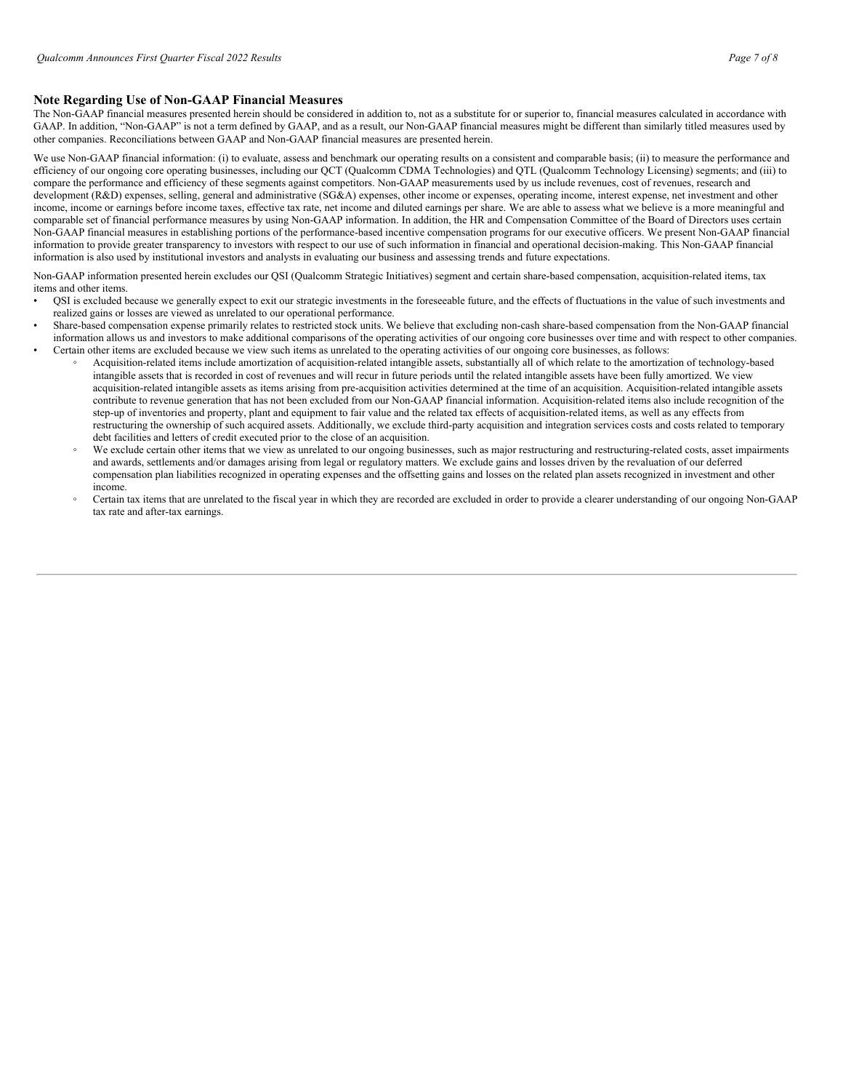## **Note Regarding Use of Non-GAAP Financial Measures**

The Non-GAAP financial measures presented herein should be considered in addition to, not as a substitute for or superior to, financial measures calculated in accordance with GAAP. In addition, "Non-GAAP" is not a term defined by GAAP, and as a result, our Non-GAAP financial measures might be different than similarly titled measures used by other companies. Reconciliations between GAAP and Non-GAAP financial measures are presented herein.

We use Non-GAAP financial information: (i) to evaluate, assess and benchmark our operating results on a consistent and comparable basis; (ii) to measure the performance and efficiency of our ongoing core operating businesses, including our QCT (Qualcomm CDMA Technologies) and QTL (Qualcomm Technology Licensing) segments; and (iii) to compare the performance and efficiency of these segments against competitors. Non-GAAP measurements used by us include revenues, cost of revenues, research and development (R&D) expenses, selling, general and administrative (SG&A) expenses, other income or expenses, operating income, interest expense, net investment and other income, income or earnings before income taxes, effective tax rate, net income and diluted earnings per share. We are able to assess what we believe is a more meaningful and comparable set of financial performance measures by using Non-GAAP information. In addition, the HR and Compensation Committee of the Board of Directors uses certain Non-GAAP financial measures in establishing portions of the performance-based incentive compensation programs for our executive officers. We present Non-GAAP financial information to provide greater transparency to investors with respect to our use of such information in financial and operational decision-making. This Non-GAAP financial information is also used by institutional investors and analysts in evaluating our business and assessing trends and future expectations.

Non-GAAP information presented herein excludes our QSI (Qualcomm Strategic Initiatives) segment and certain share-based compensation, acquisition-related items, tax items and other items.

- QSI is excluded because we generally expect to exit our strategic investments in the foreseeable future, and the effects of fluctuations in the value of such investments and realized gains or losses are viewed as unrelated to our operational performance.
- Share-based compensation expense primarily relates to restricted stock units. We believe that excluding non-cash share-based compensation from the Non-GAAP financial information allows us and investors to make additional comparisons of the operating activities of our ongoing core businesses over time and with respect to other companies. • Certain other items are excluded because we view such items as unrelated to the operating activities of our ongoing core businesses, as follows:
	- Acquisition-related items include amortization of acquisition-related intangible assets, substantially all of which relate to the amortization of technology-based intangible assets that is recorded in cost of revenues and will recur in future periods until the related intangible assets have been fully amortized. We view acquisition-related intangible assets as items arising from pre-acquisition activities determined at the time of an acquisition. Acquisition-related intangible assets contribute to revenue generation that has not been excluded from our Non-GAAP financial information. Acquisition-related items also include recognition of the step-up of inventories and property, plant and equipment to fair value and the related tax effects of acquisition-related items, as well as any effects from restructuring the ownership of such acquired assets. Additionally, we exclude third-party acquisition and integration services costs and costs related to temporary debt facilities and letters of credit executed prior to the close of an acquisition.
	- We exclude certain other items that we view as unrelated to our ongoing businesses, such as major restructuring and restructuring-related costs, asset impairments and awards, settlements and/or damages arising from legal or regulatory matters. We exclude gains and losses driven by the revaluation of our deferred compensation plan liabilities recognized in operating expenses and the offsetting gains and losses on the related plan assets recognized in investment and other income.
	- Certain tax items that are unrelated to the fiscal year in which they are recorded are excluded in order to provide a clearer understanding of our ongoing Non-GAAP tax rate and after-tax earnings.